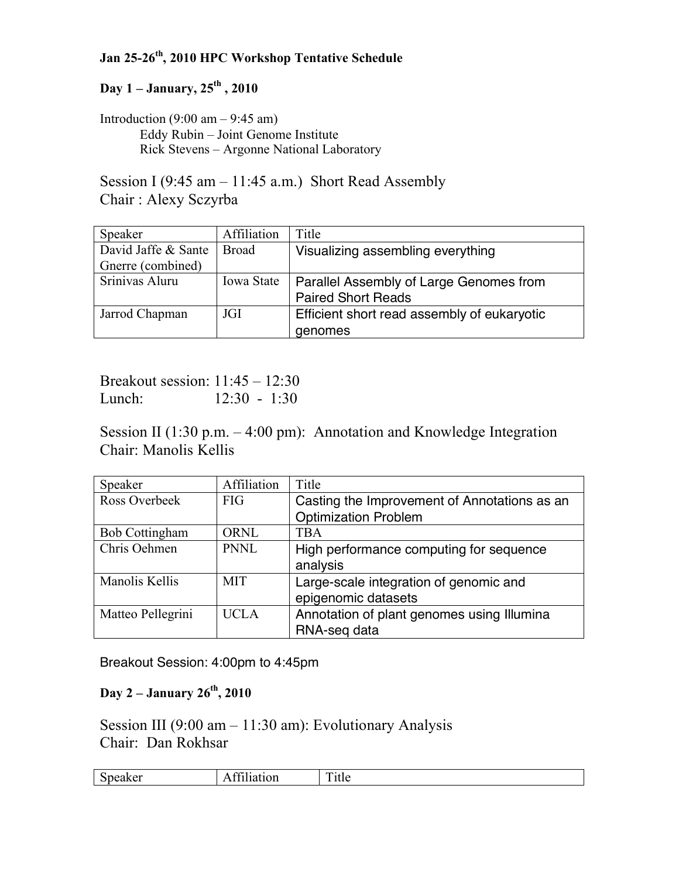## **Jan 25-26th, 2010 HPC Workshop Tentative Schedule**

## **Day 1 – January, 25th , 2010**

Introduction  $(9:00 \text{ am} - 9:45 \text{ am})$ Eddy Rubin – Joint Genome Institute Rick Stevens – Argonne National Laboratory

Session I (9:45 am – 11:45 a.m.) Short Read Assembly Chair : Alexy Sczyrba

| Speaker             | Affiliation       | Title                                       |
|---------------------|-------------------|---------------------------------------------|
| David Jaffe & Sante | Broad             | Visualizing assembling everything           |
| Gnerre (combined)   |                   |                                             |
| Srinivas Aluru      | <b>Iowa State</b> | Parallel Assembly of Large Genomes from     |
|                     |                   | <b>Paired Short Reads</b>                   |
| Jarrod Chapman      | JGI               | Efficient short read assembly of eukaryotic |
|                     |                   | genomes                                     |

Breakout session: 11:45 – 12:30 Lunch: 12:30 - 1:30

Session II (1:30 p.m. – 4:00 pm): Annotation and Knowledge Integration Chair: Manolis Kellis

| Speaker               | Affiliation | Title                                        |
|-----------------------|-------------|----------------------------------------------|
| Ross Overbeek         | FIG         | Casting the Improvement of Annotations as an |
|                       |             | <b>Optimization Problem</b>                  |
| <b>Bob Cottingham</b> | <b>ORNL</b> | <b>TBA</b>                                   |
| Chris Oehmen          | PNNL        | High performance computing for sequence      |
|                       |             | analysis                                     |
| Manolis Kellis        | <b>MIT</b>  | Large-scale integration of genomic and       |
|                       |             | epigenomic datasets                          |
| Matteo Pellegrini     | <b>UCLA</b> | Annotation of plant genomes using Illumina   |
|                       |             | RNA-seq data                                 |

Breakout Session: 4:00pm to 4:45pm

## **Day 2 – January 26th, 2010**

Session III (9:00 am  $-11:30$  am): Evolutionary Analysis Chair: Dan Rokhsar

| $\sim$<br>.<br>. .<br>∶ик<br><b>ULL</b><br>. .<br>------------ | $\mathbf{\mathbf{r}}$<br>. .<br>T ILIC |
|----------------------------------------------------------------|----------------------------------------|
|----------------------------------------------------------------|----------------------------------------|